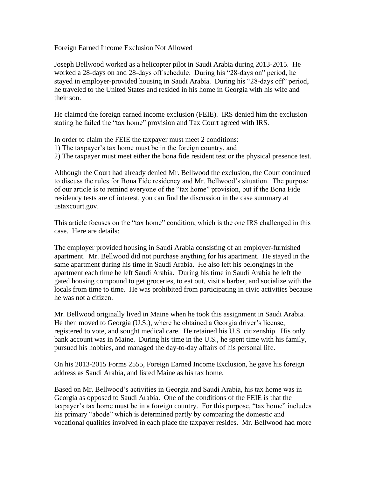Foreign Earned Income Exclusion Not Allowed

Joseph Bellwood worked as a helicopter pilot in Saudi Arabia during 2013-2015. He worked a 28-days on and 28-days off schedule. During his "28-days on" period, he stayed in employer-provided housing in Saudi Arabia. During his "28-days off" period, he traveled to the United States and resided in his home in Georgia with his wife and their son.

He claimed the foreign earned income exclusion (FEIE). IRS denied him the exclusion stating he failed the "tax home" provision and Tax Court agreed with IRS.

In order to claim the FEIE the taxpayer must meet 2 conditions:

- 1) The taxpayer's tax home must be in the foreign country, and
- 2) The taxpayer must meet either the bona fide resident test or the physical presence test.

Although the Court had already denied Mr. Bellwood the exclusion, the Court continued to discuss the rules for Bona Fide residency and Mr. Bellwood's situation. The purpose of our article is to remind everyone of the "tax home" provision, but if the Bona Fide residency tests are of interest, you can find the discussion in the case summary at ustaxcourt.gov.

This article focuses on the "tax home" condition, which is the one IRS challenged in this case. Here are details:

The employer provided housing in Saudi Arabia consisting of an employer-furnished apartment. Mr. Bellwood did not purchase anything for his apartment. He stayed in the same apartment during his time in Saudi Arabia. He also left his belongings in the apartment each time he left Saudi Arabia. During his time in Saudi Arabia he left the gated housing compound to get groceries, to eat out, visit a barber, and socialize with the locals from time to time. He was prohibited from participating in civic activities because he was not a citizen.

Mr. Bellwood originally lived in Maine when he took this assignment in Saudi Arabia. He then moved to Georgia (U.S.), where he obtained a Georgia driver's license, registered to vote, and sought medical care. He retained his U.S. citizenship. His only bank account was in Maine. During his time in the U.S., he spent time with his family, pursued his hobbies, and managed the day-to-day affairs of his personal life.

On his 2013-2015 Forms 2555, Foreign Earned Income Exclusion, he gave his foreign address as Saudi Arabia, and listed Maine as his tax home.

Based on Mr. Bellwood's activities in Georgia and Saudi Arabia, his tax home was in Georgia as opposed to Saudi Arabia. One of the conditions of the FEIE is that the taxpayer's tax home must be in a foreign country. For this purpose, "tax home" includes his primary "abode" which is determined partly by comparing the domestic and vocational qualities involved in each place the taxpayer resides. Mr. Bellwood had more